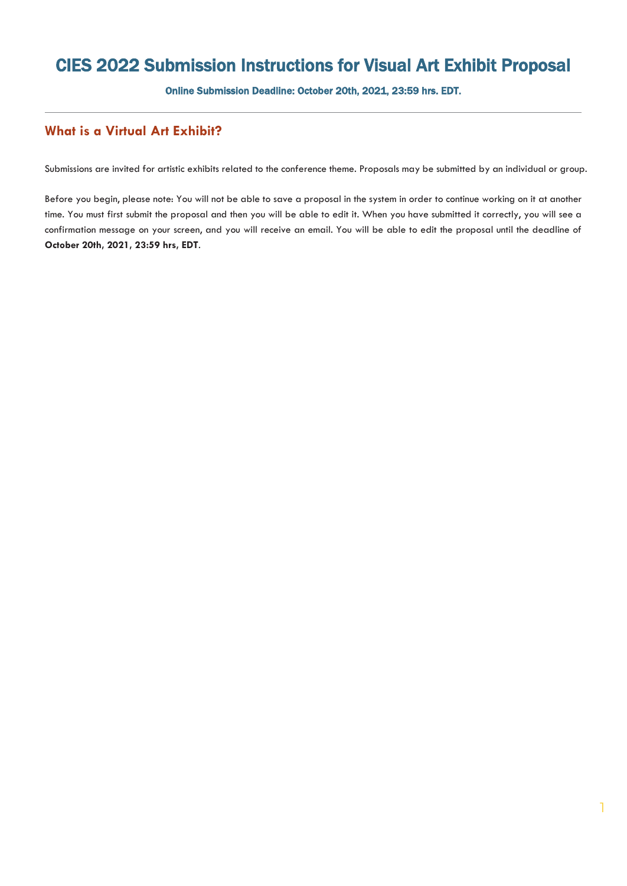## CIES 2022 Submission Instructions for Visual Art Exhibit Proposal

Online Submission Deadline: October 20th, 2021, 23:59 hrs. EDT.

## **What is a Virtual Art Exhibit?**

Submissions are invited for artistic exhibits related to the conference theme. Proposals may be submitted by an individual or group.

Before you begin, please note: You will not be able to save a proposal in the system in order to continue working on it at another time. You must first submit the proposal and then you will be able to edit it. When you have submitted it correctly, you will see a confirmation message on your screen, and you will receive an email. You will be able to edit the proposal until the deadline of **October 20th, 2021, 23:59 hrs, EDT**.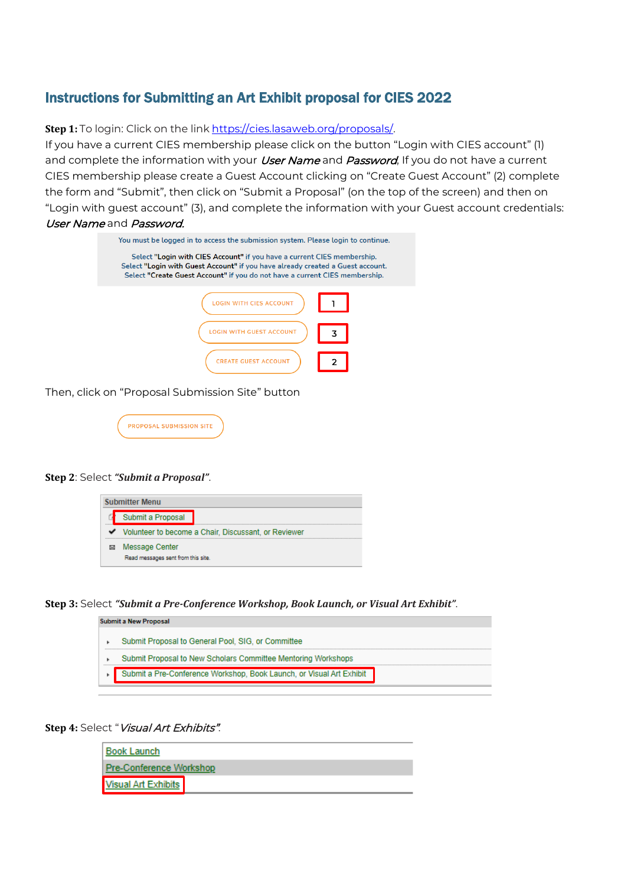## Instructions for Submitting an Art Exhibit proposal for CIES 2022

**Step 1:** To login: Click on the link [https://cies.lasaweb.org/proposals/.](https://cies.lasaweb.org/proposals/)

If you have a current CIES membership please click on the button "Login with CIES account" (1) and complete the information with your *User Name* and *Password*, If you do not have a current CIES membership please create a Guest Account clicking on "Create Guest Account" (2) complete the form and "Submit", then click on "Submit a Proposal" (on the top of the screen) and then on "Login with guest account" (3), and complete the information with your Guest account credentials: User Name and Password.

| You must be logged in to access the submission system. Please login to continue.                                                                                                                                                         |  |  |  |  |  |  |  |
|------------------------------------------------------------------------------------------------------------------------------------------------------------------------------------------------------------------------------------------|--|--|--|--|--|--|--|
| Select "Login with CIES Account" if you have a current CIES membership.<br>Select "Login with Guest Account" if you have already created a Guest account.<br>Select "Create Guest Account" if you do not have a current CIES membership. |  |  |  |  |  |  |  |
| <b>ITH CIES ACCOUNT</b>                                                                                                                                                                                                                  |  |  |  |  |  |  |  |
| TH GUEST ACCOUNT                                                                                                                                                                                                                         |  |  |  |  |  |  |  |
| <b>CREATE GUEST ACCOUNT</b>                                                                                                                                                                                                              |  |  |  |  |  |  |  |

Then, click on "Proposal Submission Site" button

| <b>PROPOSAL SUBMISSION SITE</b> |  |
|---------------------------------|--|
|                                 |  |

## **Step 2**: Select *"Submit a Proposal"*.



**Step 3:** Select *"Submit a Pre-Conference Workshop, Book Launch, or Visual Art Exhibit"*.

| Submit a New Proposal                                                |
|----------------------------------------------------------------------|
| Submit Proposal to General Pool, SIG, or Committee                   |
| Submit Proposal to New Scholars Committee Mentoring Workshops        |
| Submit a Pre-Conference Workshop, Book Launch, or Visual Art Exhibit |

Step 4: Select "Visual Art Exhibits".

| <b>Book Launch</b>             |  |  |  |  |  |  |  |
|--------------------------------|--|--|--|--|--|--|--|
| <b>Pre-Conference Workshop</b> |  |  |  |  |  |  |  |
| <b>Visual Art Exhibits</b>     |  |  |  |  |  |  |  |